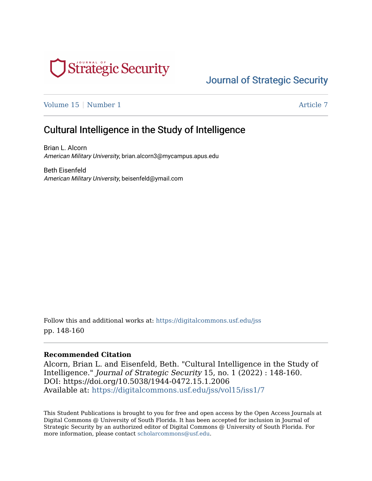

# [Journal of Strategic Security](https://digitalcommons.usf.edu/jss)

[Volume 15](https://digitalcommons.usf.edu/jss/vol15) | [Number 1](https://digitalcommons.usf.edu/jss/vol15/iss1) Article 7

# Cultural Intelligence in the Study of Intelligence

Brian L. Alcorn American Military University, brian.alcorn3@mycampus.apus.edu

Beth Eisenfeld American Military University, beisenfeld@ymail.com

Follow this and additional works at: [https://digitalcommons.usf.edu/jss](https://digitalcommons.usf.edu/jss?utm_source=digitalcommons.usf.edu%2Fjss%2Fvol15%2Fiss1%2F7&utm_medium=PDF&utm_campaign=PDFCoverPages) pp. 148-160

#### **Recommended Citation**

Alcorn, Brian L. and Eisenfeld, Beth. "Cultural Intelligence in the Study of Intelligence." Journal of Strategic Security 15, no. 1 (2022) : 148-160. DOI: https://doi.org/10.5038/1944-0472.15.1.2006 Available at: [https://digitalcommons.usf.edu/jss/vol15/iss1/7](https://digitalcommons.usf.edu/jss/vol15/iss1/7?utm_source=digitalcommons.usf.edu%2Fjss%2Fvol15%2Fiss1%2F7&utm_medium=PDF&utm_campaign=PDFCoverPages) 

This Student Publications is brought to you for free and open access by the Open Access Journals at Digital Commons @ University of South Florida. It has been accepted for inclusion in Journal of Strategic Security by an authorized editor of Digital Commons @ University of South Florida. For more information, please contact [scholarcommons@usf.edu](mailto:scholarcommons@usf.edu).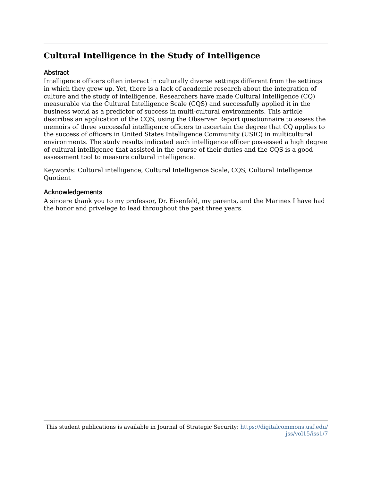# **Cultural Intelligence in the Study of Intelligence**

#### **Abstract**

Intelligence officers often interact in culturally diverse settings different from the settings in which they grew up. Yet, there is a lack of academic research about the integration of culture and the study of intelligence. Researchers have made Cultural Intelligence (CQ) measurable via the Cultural Intelligence Scale (CQS) and successfully applied it in the business world as a predictor of success in multi-cultural environments. This article describes an application of the CQS, using the Observer Report questionnaire to assess the memoirs of three successful intelligence officers to ascertain the degree that CQ applies to the success of officers in United States Intelligence Community (USIC) in multicultural environments. The study results indicated each intelligence officer possessed a high degree of cultural intelligence that assisted in the course of their duties and the CQS is a good assessment tool to measure cultural intelligence.

Keywords: Cultural intelligence, Cultural Intelligence Scale, CQS, Cultural Intelligence Quotient

#### Acknowledgements

A sincere thank you to my professor, Dr. Eisenfeld, my parents, and the Marines I have had the honor and privelege to lead throughout the past three years.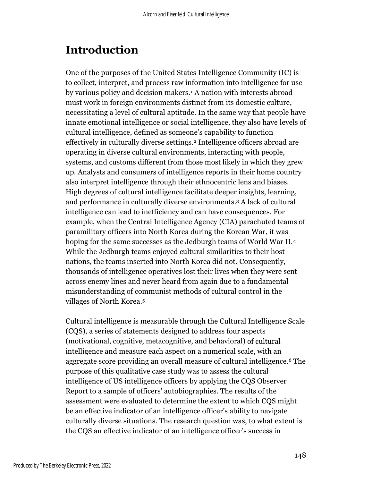# **Introduction**

One of the purposes of the United States Intelligence Community (IC) is to collect, interpret, and process raw information into intelligence for use by various policy and decision makers.<sup>1</sup> A nation with interests abroad must work in foreign environments distinct from its domestic culture, necessitating a level of cultural aptitude. In the same way that people have innate emotional intelligence or social intelligence, they also have levels of cultural intelligence, defined as someone's capability to function effectively in culturally diverse settings.<sup>2</sup> Intelligence officers abroad are operating in diverse cultural environments, interacting with people, systems, and customs different from those most likely in which they grew up. Analysts and consumers of intelligence reports in their home country also interpret intelligence through their ethnocentric lens and biases. High degrees of cultural intelligence facilitate deeper insights, learning, and performance in culturally diverse environments. <sup>3</sup> A lack of cultural intelligence can lead to inefficiency and can have consequences. For example, when the Central Intelligence Agency (CIA) parachuted teams of paramilitary officers into North Korea during the Korean War, it was hoping for the same successes as the Jedburgh teams of World War II.<sup>4</sup> While the Jedburgh teams enjoyed cultural similarities to their host nations, the teams inserted into North Korea did not. Consequently, thousands of intelligence operatives lost their lives when they were sent across enemy lines and never heard from again due to a fundamental misunderstanding of communist methods of cultural control in the villages of North Korea. 5

Cultural intelligence is measurable through the Cultural Intelligence Scale (CQS), a series of statements designed to address four aspects (motivational, cognitive, metacognitive, and behavioral) of cultural intelligence and measure each aspect on a numerical scale, with an aggregate score providing an overall measure of cultural intelligence.<sup>6</sup> The purpose of this qualitative case study was to assess the cultural intelligence of US intelligence officers by applying the CQS Observer Report to a sample of officers' autobiographies. The results of the assessment were evaluated to determine the extent to which CQS might be an effective indicator of an intelligence officer's ability to navigate culturally diverse situations. The research question was, to what extent is the CQS an effective indicator of an intelligence officer's success in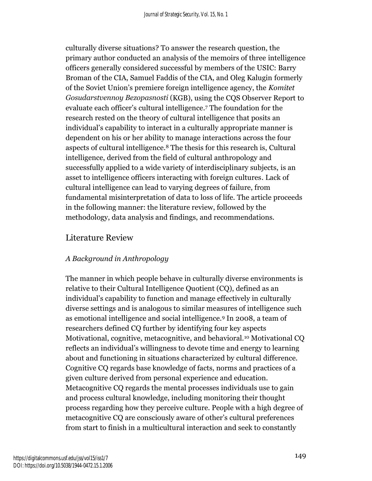culturally diverse situations? To answer the research question, the primary author conducted an analysis of the memoirs of three intelligence officers generally considered successful by members of the USIC: Barry Broman of the CIA, Samuel Faddis of the CIA, and Oleg Kalugin formerly of the Soviet Union's premiere foreign intelligence agency, the *Komitet Gosudarstvennoy Bezopasnosti* (KGB), using the CQS Observer Report to evaluate each officer's cultural intelligence. <sup>7</sup> The foundation for the research rested on the theory of cultural intelligence that posits an individual's capability to interact in a culturally appropriate manner is dependent on his or her ability to manage interactions across the four aspects of cultural intelligence.<sup>8</sup> The thesis for this research is, Cultural intelligence, derived from the field of cultural anthropology and successfully applied to a wide variety of interdisciplinary subjects, is an asset to intelligence officers interacting with foreign cultures. Lack of cultural intelligence can lead to varying degrees of failure, from fundamental misinterpretation of data to loss of life. The article proceeds in the following manner: the literature review, followed by the methodology, data analysis and findings, and recommendations.

## Literature Review

#### *A Background in Anthropology*

The manner in which people behave in culturally diverse environments is relative to their Cultural Intelligence Quotient (CQ), defined as an individual's capability to function and manage effectively in culturally diverse settings and is analogous to similar measures of intelligence such as emotional intelligence and social intelligence.<sup>9</sup> In 2008, a team of researchers defined CQ further by identifying four key aspects Motivational, cognitive, metacognitive, and behavioral.<sup>10</sup> Motivational CQ reflects an individual's willingness to devote time and energy to learning about and functioning in situations characterized by cultural difference. Cognitive CQ regards base knowledge of facts, norms and practices of a given culture derived from personal experience and education. Metacognitive CQ regards the mental processes individuals use to gain and process cultural knowledge, including monitoring their thought process regarding how they perceive culture. People with a high degree of metacognitive CQ are consciously aware of other's cultural preferences from start to finish in a multicultural interaction and seek to constantly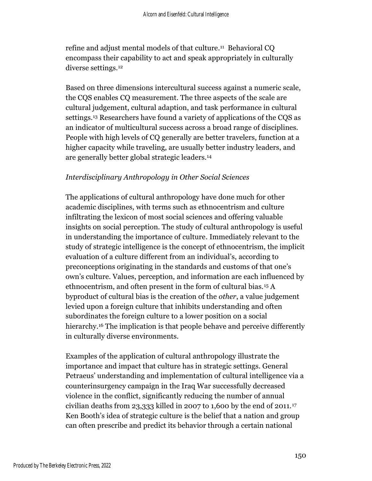refine and adjust mental models of that culture. <sup>11</sup> Behavioral CQ encompass their capability to act and speak appropriately in culturally diverse settings.<sup>12</sup>

Based on three dimensions intercultural success against a numeric scale, the CQS enables CQ measurement. The three aspects of the scale are cultural judgement, cultural adaption, and task performance in cultural settings.<sup>13</sup> Researchers have found a variety of applications of the CQS as an indicator of multicultural success across a broad range of disciplines. People with high levels of CQ generally are better travelers, function at a higher capacity while traveling, are usually better industry leaders, and are generally better global strategic leaders.<sup>14</sup>

#### *Interdisciplinary Anthropology in Other Social Sciences*

The applications of cultural anthropology have done much for other academic disciplines, with terms such as ethnocentrism and culture infiltrating the lexicon of most social sciences and offering valuable insights on social perception. The study of cultural anthropology is useful in understanding the importance of culture. Immediately relevant to the study of strategic intelligence is the concept of ethnocentrism, the implicit evaluation of a culture different from an individual's, according to preconceptions originating in the standards and customs of that one's own's culture. Values, perception, and information are each influenced by ethnocentrism, and often present in the form of cultural bias.<sup>15</sup> A byproduct of cultural bias is the creation of the *other*, a value judgement levied upon a foreign culture that inhibits understanding and often subordinates the foreign culture to a lower position on a social hierarchy.<sup>16</sup> The implication is that people behave and perceive differently in culturally diverse environments.

Examples of the application of cultural anthropology illustrate the importance and impact that culture has in strategic settings. General Petraeus' understanding and implementation of cultural intelligence via a counterinsurgency campaign in the Iraq War successfully decreased violence in the conflict, significantly reducing the number of annual civilian deaths from 23,333 killed in 2007 to 1,600 by the end of 2011.<sup>17</sup> Ken Booth's idea of strategic culture is the belief that a nation and group can often prescribe and predict its behavior through a certain national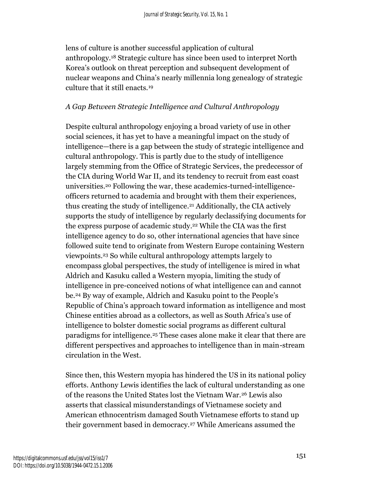lens of culture is another successful application of cultural anthropology.<sup>18</sup> Strategic culture has since been used to interpret North Korea's outlook on threat perception and subsequent development of nuclear weapons and China's nearly millennia long genealogy of strategic culture that it still enacts.<sup>19</sup>

## *A Gap Between Strategic Intelligence and Cultural Anthropology*

Despite cultural anthropology enjoying a broad variety of use in other social sciences, it has yet to have a meaningful impact on the study of intelligence—there is a gap between the study of strategic intelligence and cultural anthropology. This is partly due to the study of intelligence largely stemming from the Office of Strategic Services, the predecessor of the CIA during World War II, and its tendency to recruit from east coast universities. <sup>20</sup> Following the war, these academics-turned-intelligenceofficers returned to academia and brought with them their experiences, thus creating the study of intelligence. <sup>21</sup> Additionally, the CIA actively supports the study of intelligence by regularly declassifying documents for the express purpose of academic study. <sup>22</sup> While the CIA was the first intelligence agency to do so, other international agencies that have since followed suite tend to originate from Western Europe containing Western viewpoints. <sup>23</sup> So while cultural anthropology attempts largely to encompass global perspectives, the study of intelligence is mired in what Aldrich and Kasuku called a Western myopia, limiting the study of intelligence in pre-conceived notions of what intelligence can and cannot be.<sup>24</sup> By way of example, Aldrich and Kasuku point to the People's Republic of China's approach toward information as intelligence and most Chinese entities abroad as a collectors, as well as South Africa's use of intelligence to bolster domestic social programs as different cultural paradigms for intelligence.<sup>25</sup> These cases alone make it clear that there are different perspectives and approaches to intelligence than in main-stream circulation in the West.

Since then, this Western myopia has hindered the US in its national policy efforts. Anthony Lewis identifies the lack of cultural understanding as one of the reasons the United States lost the Vietnam War.<sup>26</sup> Lewis also asserts that classical misunderstandings of Vietnamese society and American ethnocentrism damaged South Vietnamese efforts to stand up their government based in democracy.<sup>27</sup> While Americans assumed the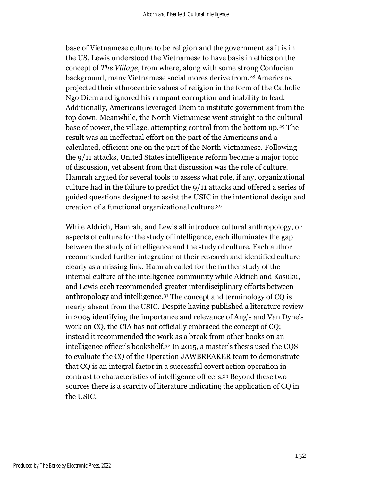base of Vietnamese culture to be religion and the government as it is in the US, Lewis understood the Vietnamese to have basis in ethics on the concept of *The Village*, from where, along with some strong Confucian background, many Vietnamese social mores derive from.<sup>28</sup> Americans projected their ethnocentric values of religion in the form of the Catholic Ngo Diem and ignored his rampant corruption and inability to lead. Additionally, Americans leveraged Diem to institute government from the top down. Meanwhile, the North Vietnamese went straight to the cultural base of power, the village, attempting control from the bottom up.<sup>29</sup> The result was an ineffectual effort on the part of the Americans and a calculated, efficient one on the part of the North Vietnamese. Following the 9/11 attacks, United States intelligence reform became a major topic of discussion, yet absent from that discussion was the role of culture. Hamrah argued for several tools to assess what role, if any, organizational culture had in the failure to predict the 9/11 attacks and offered a series of guided questions designed to assist the USIC in the intentional design and creation of a functional organizational culture. 30

While Aldrich, Hamrah, and Lewis all introduce cultural anthropology, or aspects of culture for the study of intelligence, each illuminates the gap between the study of intelligence and the study of culture. Each author recommended further integration of their research and identified culture clearly as a missing link. Hamrah called for the further study of the internal culture of the intelligence community while Aldrich and Kasuku, and Lewis each recommended greater interdisciplinary efforts between anthropology and intelligence.<sup>31</sup> The concept and terminology of CQ is nearly absent from the USIC. Despite having published a literature review in 2005 identifying the importance and relevance of Ang's and Van Dyne's work on CQ, the CIA has not officially embraced the concept of CQ; instead it recommended the work as a break from other books on an intelligence officer's bookshelf.<sup>32</sup> In 2015, a master's thesis used the CQS to evaluate the CQ of the Operation JAWBREAKER team to demonstrate that CQ is an integral factor in a successful covert action operation in contrast to characteristics of intelligence officers.<sup>33</sup> Beyond these two sources there is a scarcity of literature indicating the application of CQ in the USIC.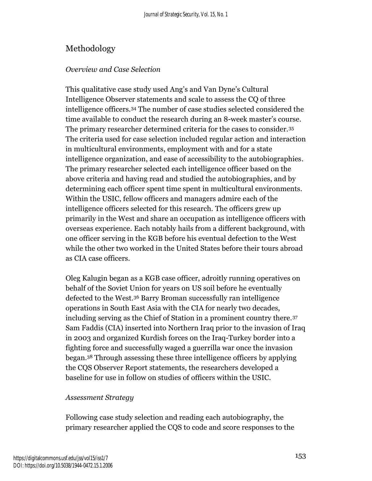# Methodology

#### *Overview and Case Selection*

This qualitative case study used Ang's and Van Dyne's Cultural Intelligence Observer statements and scale to assess the CQ of three intelligence officers.<sup>34</sup> The number of case studies selected considered the time available to conduct the research during an 8-week master's course. The primary researcher determined criteria for the cases to consider.<sup>35</sup> The criteria used for case selection included regular action and interaction in multicultural environments, employment with and for a state intelligence organization, and ease of accessibility to the autobiographies. The primary researcher selected each intelligence officer based on the above criteria and having read and studied the autobiographies, and by determining each officer spent time spent in multicultural environments. Within the USIC, fellow officers and managers admire each of the intelligence officers selected for this research. The officers grew up primarily in the West and share an occupation as intelligence officers with overseas experience. Each notably hails from a different background, with one officer serving in the KGB before his eventual defection to the West while the other two worked in the United States before their tours abroad as CIA case officers.

Oleg Kalugin began as a KGB case officer, adroitly running operatives on behalf of the Soviet Union for years on US soil before he eventually defected to the West.<sup>36</sup> Barry Broman successfully ran intelligence operations in South East Asia with the CIA for nearly two decades, including serving as the Chief of Station in a prominent country there.<sup>37</sup> Sam Faddis (CIA) inserted into Northern Iraq prior to the invasion of Iraq in 2003 and organized Kurdish forces on the Iraq-Turkey border into a fighting force and successfully waged a guerrilla war once the invasion began.<sup>38</sup> Through assessing these three intelligence officers by applying the CQS Observer Report statements, the researchers developed a baseline for use in follow on studies of officers within the USIC.

#### *Assessment Strategy*

Following case study selection and reading each autobiography, the primary researcher applied the CQS to code and score responses to the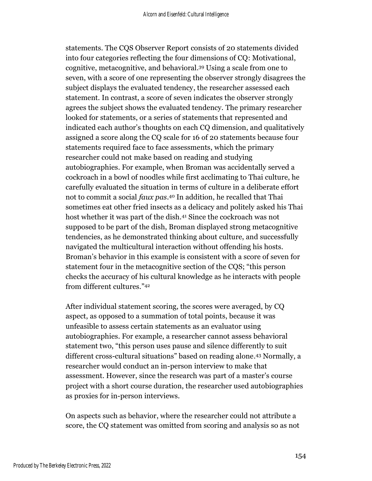statements. The CQS Observer Report consists of 20 statements divided into four categories reflecting the four dimensions of CQ: Motivational, cognitive, metacognitive, and behavioral. <sup>39</sup> Using a scale from one to seven, with a score of one representing the observer strongly disagrees the subject displays the evaluated tendency, the researcher assessed each statement. In contrast, a score of seven indicates the observer strongly agrees the subject shows the evaluated tendency. The primary researcher looked for statements, or a series of statements that represented and indicated each author's thoughts on each CQ dimension, and qualitatively assigned a score along the CQ scale for 16 of 20 statements because four statements required face to face assessments, which the primary researcher could not make based on reading and studying autobiographies. For example, when Broman was accidentally served a cockroach in a bowl of noodles while first acclimating to Thai culture, he carefully evaluated the situation in terms of culture in a deliberate effort not to commit a social *faux pas*. <sup>40</sup> In addition, he recalled that Thai sometimes eat other fried insects as a delicacy and politely asked his Thai host whether it was part of the dish.<sup>41</sup> Since the cockroach was not supposed to be part of the dish, Broman displayed strong metacognitive tendencies, as he demonstrated thinking about culture, and successfully navigated the multicultural interaction without offending his hosts. Broman's behavior in this example is consistent with a score of seven for statement four in the metacognitive section of the CQS; "this person checks the accuracy of his cultural knowledge as he interacts with people from different cultures." 42

After individual statement scoring, the scores were averaged, by CQ aspect, as opposed to a summation of total points, because it was unfeasible to assess certain statements as an evaluator using autobiographies. For example, a researcher cannot assess behavioral statement two, "this person uses pause and silence differently to suit different cross-cultural situations" based on reading alone. <sup>43</sup> Normally, a researcher would conduct an in-person interview to make that assessment. However, since the research was part of a master's course project with a short course duration, the researcher used autobiographies as proxies for in-person interviews.

On aspects such as behavior, where the researcher could not attribute a score, the CQ statement was omitted from scoring and analysis so as not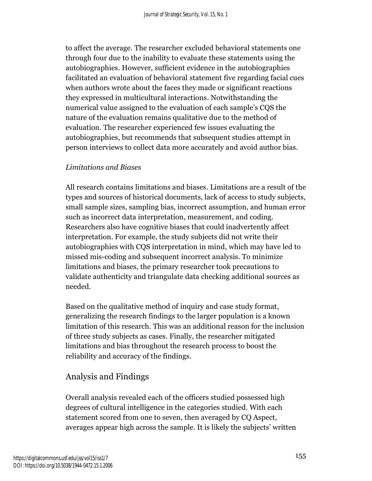to affect the average. The researcher excluded behavioral statements one through four due to the inability to evaluate these statements using the autobiographies. However, sufficient evidence in the autobiographies facilitated an evaluation of behavioral statement five regarding facial cues when authors wrote about the faces they made or significant reactions they expressed in multicultural interactions. Notwithstanding the numerical value assigned to the evaluation of each sample's CQS the nature of the evaluation remains qualitative due to the method of evaluation. The researcher experienced few issues evaluating the autobiographies, but recommends that subsequent studies attempt in person interviews to collect data more accurately and avoid author bias.

#### *Limitations and Biases*

All research contains limitations and biases. Limitations are a result of the types and sources of historical documents, lack of access to study subjects, small sample sizes, sampling bias, incorrect assumption, and human error such as incorrect data interpretation, measurement, and coding. Researchers also have cognitive biases that could inadvertently affect interpretation. For example, the study subjects did not write their autobiographies with CQS interpretation in mind, which may have led to missed mis-coding and subsequent incorrect analysis. To minimize limitations and biases, the primary researcher took precautions to validate authenticity and triangulate data checking additional sources as needed.

Based on the qualitative method of inquiry and case study format, generalizing the research findings to the larger population is a known limitation of this research. This was an additional reason for the inclusion of three study subjects as cases. Finally, the researcher mitigated limitations and bias throughout the research process to boost the reliability and accuracy of the findings.

# Analysis and Findings

Overall analysis revealed each of the officers studied possessed high degrees of cultural intelligence in the categories studied. With each statement scored from one to seven, then averaged by CQ Aspect, averages appear high across the sample. It is likely the subjects' written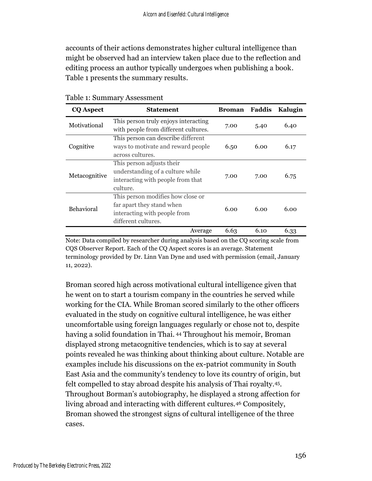accounts of their actions demonstrates higher cultural intelligence than might be observed had an interview taken place due to the reflection and editing process an author typically undergoes when publishing a book. Table 1 presents the summary results.

| <b>CQ Aspect</b>  | <b>Statement</b>                                                                                                      | <b>Broman</b> | Faddis | Kalugin |
|-------------------|-----------------------------------------------------------------------------------------------------------------------|---------------|--------|---------|
| Motivational      | This person truly enjoys interacting<br>with people from different cultures.                                          | 7.00          | 5.40   | 6.40    |
| Cognitive         | This person can describe different<br>ways to motivate and reward people<br>across cultures.                          | 6.50          | 6.00   | 6.17    |
| Metacognitive     | This person adjusts their<br>understanding of a culture while<br>interacting with people from that<br>culture.        | 7.00          | 7.00   | 6.75    |
| <b>Behavioral</b> | This person modifies how close or<br>far apart they stand when<br>interacting with people from<br>different cultures. | 6.00          | 6.00   | 6.00    |
|                   | Average                                                                                                               | 6.63          | 6.10   | 6.33    |

Table 1: Summary Assessment

Note: Data compiled by researcher during analysis based on the CQ scoring scale from CQS Observer Report. Each of the CQ Aspect scores is an average. Statement terminology provided by Dr. Linn Van Dyne and used with permission (email, January 11, 2022).

Broman scored high across motivational cultural intelligence given that he went on to start a tourism company in the countries he served while working for the CIA. While Broman scored similarly to the other officers evaluated in the study on cognitive cultural intelligence, he was either uncomfortable using foreign languages regularly or chose not to, despite having a solid foundation in Thai. <sup>44</sup> Throughout his memoir, Broman displayed strong metacognitive tendencies, which is to say at several points revealed he was thinking about thinking about culture. Notable are examples include his discussions on the ex-patriot community in South East Asia and the community's tendency to love its country of origin, but felt compelled to stay abroad despite his analysis of Thai royalty.45. Throughout Borman's autobiography, he displayed a strong affection for living abroad and interacting with different cultures.<sup>46</sup> Compositely, Broman showed the strongest signs of cultural intelligence of the three cases.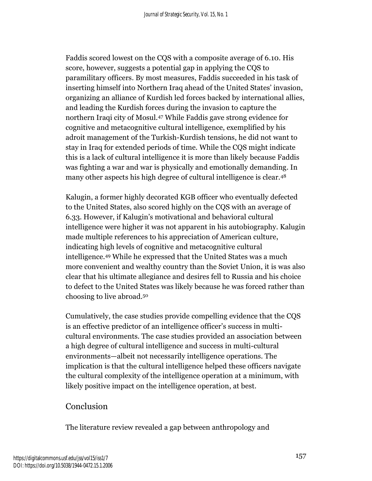Faddis scored lowest on the CQS with a composite average of 6.10. His score, however, suggests a potential gap in applying the CQS to paramilitary officers. By most measures, Faddis succeeded in his task of inserting himself into Northern Iraq ahead of the United States' invasion, organizing an alliance of Kurdish led forces backed by international allies, and leading the Kurdish forces during the invasion to capture the northern Iraqi city of Mosul.<sup>47</sup> While Faddis gave strong evidence for cognitive and metacognitive cultural intelligence, exemplified by his adroit management of the Turkish-Kurdish tensions, he did not want to stay in Iraq for extended periods of time. While the CQS might indicate this is a lack of cultural intelligence it is more than likely because Faddis was fighting a war and war is physically and emotionally demanding. In many other aspects his high degree of cultural intelligence is clear.<sup>48</sup>

Kalugin, a former highly decorated KGB officer who eventually defected to the United States, also scored highly on the CQS with an average of 6.33. However, if Kalugin's motivational and behavioral cultural intelligence were higher it was not apparent in his autobiography. Kalugin made multiple references to his appreciation of American culture, indicating high levels of cognitive and metacognitive cultural intelligence.<sup>49</sup> While he expressed that the United States was a much more convenient and wealthy country than the Soviet Union, it is was also clear that his ultimate allegiance and desires fell to Russia and his choice to defect to the United States was likely because he was forced rather than choosing to live abroad.<sup>50</sup>

Cumulatively, the case studies provide compelling evidence that the CQS is an effective predictor of an intelligence officer's success in multicultural environments. The case studies provided an association between a high degree of cultural intelligence and success in multi-cultural environments—albeit not necessarily intelligence operations. The implication is that the cultural intelligence helped these officers navigate the cultural complexity of the intelligence operation at a minimum, with likely positive impact on the intelligence operation, at best.

# Conclusion

The literature review revealed a gap between anthropology and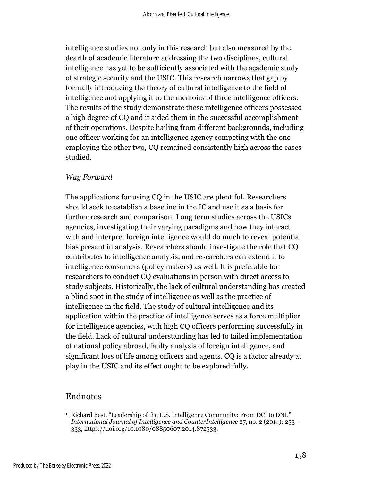intelligence studies not only in this research but also measured by the dearth of academic literature addressing the two disciplines, cultural intelligence has yet to be sufficiently associated with the academic study of strategic security and the USIC. This research narrows that gap by formally introducing the theory of cultural intelligence to the field of intelligence and applying it to the memoirs of three intelligence officers. The results of the study demonstrate these intelligence officers possessed a high degree of CQ and it aided them in the successful accomplishment of their operations. Despite hailing from different backgrounds, including one officer working for an intelligence agency competing with the one employing the other two, CQ remained consistently high across the cases studied.

#### *Way Forward*

The applications for using CQ in the USIC are plentiful. Researchers should seek to establish a baseline in the IC and use it as a basis for further research and comparison. Long term studies across the USICs agencies, investigating their varying paradigms and how they interact with and interpret foreign intelligence would do much to reveal potential bias present in analysis. Researchers should investigate the role that CQ contributes to intelligence analysis, and researchers can extend it to intelligence consumers (policy makers) as well. It is preferable for researchers to conduct CQ evaluations in person with direct access to study subjects. Historically, the lack of cultural understanding has created a blind spot in the study of intelligence as well as the practice of intelligence in the field. The study of cultural intelligence and its application within the practice of intelligence serves as a force multiplier for intelligence agencies, with high CQ officers performing successfully in the field. Lack of cultural understanding has led to failed implementation of national policy abroad, faulty analysis of foreign intelligence, and significant loss of life among officers and agents. CQ is a factor already at play in the USIC and its effect ought to be explored fully.

## Endnotes

<sup>1</sup> Richard Best. "Leadership of the U.S. Intelligence Community: From DCI to DNI." *International Journal of Intelligence and CounterIntelligence* 27, no. 2 (2014): 253– 333, https://doi.org/10.1080/08850607.2014.872533.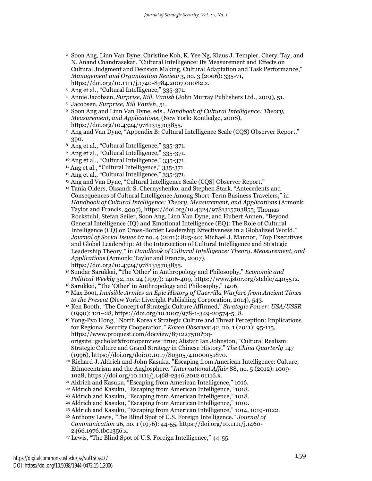- <sup>2</sup> Soon Ang, Linn Van Dyne, Christine Koh, K. Yee Ng, Klaus J. Templer, Cheryl Tay, and N. Anand Chandrasekar. "Cultural Intelligence: Its Measurement and Effects on Cultural Judgment and Decision Making, Cultural Adaptation and Task Performance," *Management and Organization Review* 3, no. 3 (2006): 335-71, https://doi.org/10.1111/j.1740-8784.2007.00082.x.
- <sup>3</sup> Ang et al., "Cultural Intelligence," 335-371.
- <sup>4</sup> Annie Jacobsen, *Surprise, Kill, Vanish* (John Murray Publishers Ltd., 2019), 51.
- <sup>5</sup> Jacobsen, *Surprise, Kill Vanish*, 51.
- <sup>6</sup> Soon Ang and Linn Van Dyne, eds., *Handbook of Cultural Intelligence: Theory, Measurement, and Applications*, (New York: Routledge, 2008), https://doi.org/10.4324/9781315703855.
- <sup>7</sup> Ang and Van Dyne, "Appendix B: Cultural Intelligence Scale (CQS) Observer Report," 390.
- <sup>8</sup> Ang et al., "Cultural Intelligence," 335-371.
- <sup>9</sup> Ang et al., "Cultural Intelligence," 335-371.
- <sup>10</sup> Ang et al., "Cultural Intelligence," 335-371.
- <sup>11</sup> Ang et al., "Cultural Intelligence," 335-371.
- <sup>12</sup> Ang et al., "Cultural Intelligence," 335-371.
- <sup>13</sup> Ang and Van Dyne, "Cultural Intelligence Scale (CQS) Observer Report."
- <sup>14</sup> Tania Olders, Oksandr S. Chernyshenko, and Stephen Stark. "Antecedents and Consequences of Cultural Intelligence Among Short-Term Business Travelers," in *Handbook of Cultural Intelligence: Theory, Measurement, and Applications* (Armonk: Taylor and Francis, 2007), [https://doi.org/10.4324/9781315703855;](https://doi.org/10.4324/9781315703855) Thomas Rockstuhl, Stefan Seiler, Soon Ang, Linn Van Dyne, and Hubert Annen, "Beyond General Intelligence (IQ) and Emotional Intelligence (EQ): The Role of Cultural Intelligence (CQ) on Cross-Border Leadership Effectiveness in a Globalized World," *Journal of Social Issues* 67 no. 4 (2011): 825-40; Michael J. Mannor, "Top Executives and Global Leadership: At the Intersection of Cultural Intelligence and Strategic Leadership Theory," in *Handbook of Cultural Intelligence: Theory, Measurement, and Applications* (Armonk: Taylor and Francis, 2007), https://doi.org/10.4324/9781315703855.
- <sup>15</sup> Sundar Sarukkai, "The 'Other' in Anthropology and Philosophy," *Economic and Political Weekly* 32, no. 24 (1997): 1406-409, https://www.jstor.org/stable/4405512.
- <sup>16</sup> Sarukkai, "The 'Other' in Anthropology and Philosophy," 1406.
- <sup>17</sup> Max Boot, *Invisible Armies an Epic History of Guerrilla Warfare from Ancient Times to the Present* (New York: Liveright Publishing Corporation, 2014), 543.
- <sup>18</sup> Ken Booth, "The Concept of Strategic Culture Affirmed," *Strategic Power: USA/USSR*  (1990): 121–28, https://doi.org/10.1007/978-1-349-20574-5\_8.
- <sup>19</sup> Yong-Pyo Hong, "North Korea's Strategic Culture and Threat Perception: Implications for Regional Security Cooperation," *Korea Observer* 42, no. 1 (2011): 95-115, https://www.proquest.com/docview/871227510?pqorigsite=gscholar&fromopenview=true; Alistair Ian Johnston, "Cultural Realism: Strategic Culture and Grand Strategy in Chinese History," *The China Quarterly* 147 (1996), [https://doi.org/doi:10.1017/S0305741000051870.](https://doi.org/doi:10.1017/S0305741000051870)
- <sup>20</sup> Richard J. Aldrich and John Kasuku. "Escaping from American Intelligence: Culture, Ethnocentrism and the Anglosphere. "*International Affair* 88, no. 5 (2012): 1009- 1028, https://doi.org/10.1111/j.1468-2346.2012.01116.x.
- <sup>21</sup> Aldrich and Kasuku, "Escaping from American Intelligence," 1016.
- <sup>22</sup> Aldrich and Kasuku, "Escaping from American Intelligence," 1018.
- <sup>23</sup> Aldrich and Kasuku, "Escaping from American Intelligence," 1018.
- <sup>24</sup> Aldrich and Kasuku, "Escaping from American Intelligence," 1010.
- <sup>25</sup> Aldrich and Kasuku, "Escaping from American Intelligence," 1014, 1019-1022.
- <sup>26</sup> Anthony Lewis, "The Blind Spot of U.S. Foreign Intelligence." *Journal of Communication* 26, no. 1 (1976): 44-55, https://doi.org/10.1111/j.1460- 2466.1976.tb01356.x.
- <sup>27</sup> Lewis, "The Blind Spot of U.S. Foreign Intelligence," 44-55.